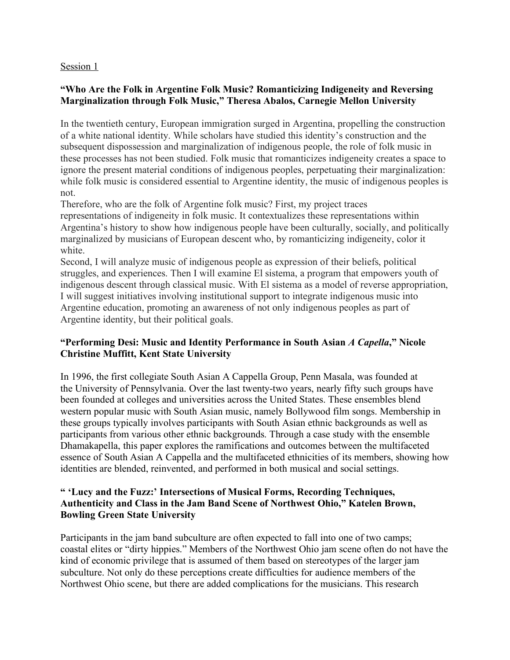### Session 1

## **"Who Are the Folk in Argentine Folk Music? Romanticizing Indigeneity and Reversing Marginalization through Folk Music," Theresa Abalos, Carnegie Mellon University**

In the twentieth century, European immigration surged in Argentina, propelling the construction of a white national identity. While scholars have studied this identity's construction and the subsequent dispossession and marginalization of indigenous people, the role of folk music in these processes has not been studied. Folk music that romanticizes indigeneity creates a space to ignore the present material conditions of indigenous peoples, perpetuating their marginalization: while folk music is considered essential to Argentine identity, the music of indigenous peoples is not.

Therefore, who are the folk of Argentine folk music? First, my project traces representations of indigeneity in folk music. It contextualizes these representations within Argentina's history to show how indigenous people have been culturally, socially, and politically marginalized by musicians of European descent who, by romanticizing indigeneity, color it white.

Second, I will analyze music of indigenous people as expression of their beliefs, political struggles, and experiences. Then I will examine El sistema, a program that empowers youth of indigenous descent through classical music. With El sistema as a model of reverse appropriation, I will suggest initiatives involving institutional support to integrate indigenous music into Argentine education, promoting an awareness of not only indigenous peoples as part of Argentine identity, but their political goals.

## **"Performing Desi: Music and Identity Performance in South Asian** *A Capella***," Nicole Christine Muffitt, Kent State University**

In 1996, the first collegiate South Asian A Cappella Group, Penn Masala, was founded at the University of Pennsylvania. Over the last twenty-two years, nearly fifty such groups have been founded at colleges and universities across the United States. These ensembles blend western popular music with South Asian music, namely Bollywood film songs. Membership in these groups typically involves participants with South Asian ethnic backgrounds as well as participants from various other ethnic backgrounds. Through a case study with the ensemble Dhamakapella, this paper explores the ramifications and outcomes between the multifaceted essence of South Asian A Cappella and the multifaceted ethnicities of its members, showing how identities are blended, reinvented, and performed in both musical and social settings.

## **" 'Lucy and the Fuzz:' Intersections of Musical Forms, Recording Techniques, Authenticity and Class in the Jam Band Scene of Northwest Ohio," Katelen Brown, Bowling Green State University**

Participants in the jam band subculture are often expected to fall into one of two camps; coastal elites or "dirty hippies." Members of the Northwest Ohio jam scene often do not have the kind of economic privilege that is assumed of them based on stereotypes of the larger jam subculture. Not only do these perceptions create difficulties for audience members of the Northwest Ohio scene, but there are added complications for the musicians. This research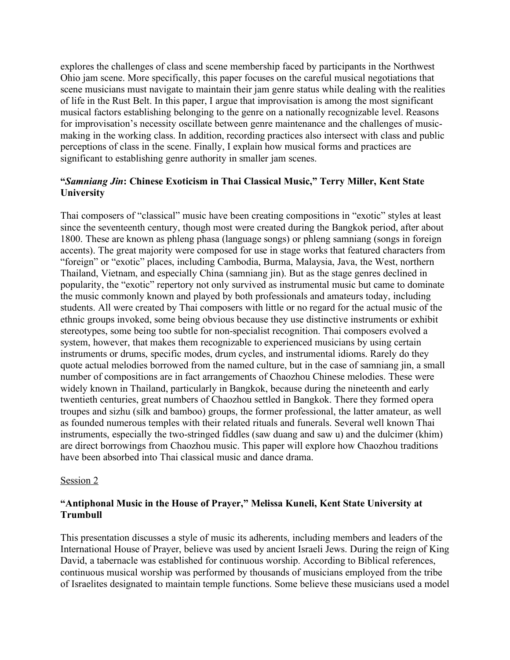explores the challenges of class and scene membership faced by participants in the Northwest Ohio jam scene. More specifically, this paper focuses on the careful musical negotiations that scene musicians must navigate to maintain their jam genre status while dealing with the realities of life in the Rust Belt. In this paper, I argue that improvisation is among the most significant musical factors establishing belonging to the genre on a nationally recognizable level. Reasons for improvisation's necessity oscillate between genre maintenance and the challenges of musicmaking in the working class. In addition, recording practices also intersect with class and public perceptions of class in the scene. Finally, I explain how musical forms and practices are significant to establishing genre authority in smaller jam scenes.

# **"***Samniang Jin***: Chinese Exoticism in Thai Classical Music," Terry Miller, Kent State University**

Thai composers of "classical" music have been creating compositions in "exotic" styles at least since the seventeenth century, though most were created during the Bangkok period, after about 1800. These are known as phleng phasa (language songs) or phleng samniang (songs in foreign accents). The great majority were composed for use in stage works that featured characters from "foreign" or "exotic" places, including Cambodia, Burma, Malaysia, Java, the West, northern Thailand, Vietnam, and especially China (samniang jin). But as the stage genres declined in popularity, the "exotic" repertory not only survived as instrumental music but came to dominate the music commonly known and played by both professionals and amateurs today, including students. All were created by Thai composers with little or no regard for the actual music of the ethnic groups invoked, some being obvious because they use distinctive instruments or exhibit stereotypes, some being too subtle for non-specialist recognition. Thai composers evolved a system, however, that makes them recognizable to experienced musicians by using certain instruments or drums, specific modes, drum cycles, and instrumental idioms. Rarely do they quote actual melodies borrowed from the named culture, but in the case of samniang jin, a small number of compositions are in fact arrangements of Chaozhou Chinese melodies. These were widely known in Thailand, particularly in Bangkok, because during the nineteenth and early twentieth centuries, great numbers of Chaozhou settled in Bangkok. There they formed opera troupes and sizhu (silk and bamboo) groups, the former professional, the latter amateur, as well as founded numerous temples with their related rituals and funerals. Several well known Thai instruments, especially the two-stringed fiddles (saw duang and saw u) and the dulcimer (khim) are direct borrowings from Chaozhou music. This paper will explore how Chaozhou traditions have been absorbed into Thai classical music and dance drama.

#### Session 2

#### **"Antiphonal Music in the House of Prayer," Melissa Kuneli, Kent State University at Trumbull**

This presentation discusses a style of music its adherents, including members and leaders of the International House of Prayer, believe was used by ancient Israeli Jews. During the reign of King David, a tabernacle was established for continuous worship. According to Biblical references, continuous musical worship was performed by thousands of musicians employed from the tribe of Israelites designated to maintain temple functions. Some believe these musicians used a model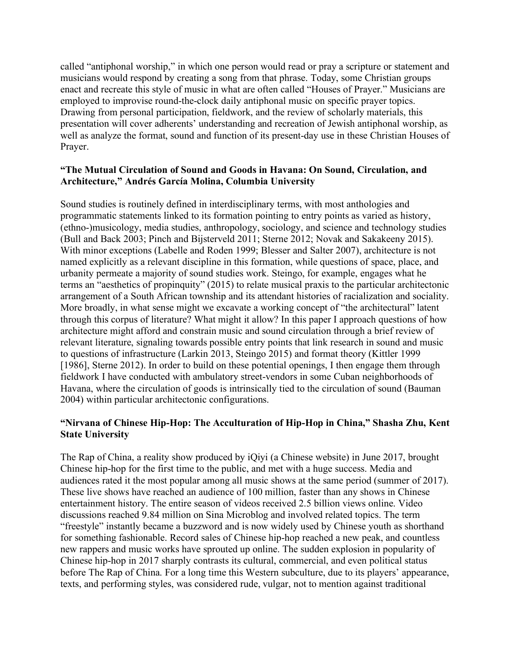called "antiphonal worship," in which one person would read or pray a scripture or statement and musicians would respond by creating a song from that phrase. Today, some Christian groups enact and recreate this style of music in what are often called "Houses of Prayer." Musicians are employed to improvise round-the-clock daily antiphonal music on specific prayer topics. Drawing from personal participation, fieldwork, and the review of scholarly materials, this presentation will cover adherents' understanding and recreation of Jewish antiphonal worship, as well as analyze the format, sound and function of its present-day use in these Christian Houses of Prayer.

### **"The Mutual Circulation of Sound and Goods in Havana: On Sound, Circulation, and Architecture," Andrés García Molina, Columbia University**

Sound studies is routinely defined in interdisciplinary terms, with most anthologies and programmatic statements linked to its formation pointing to entry points as varied as history, (ethno-)musicology, media studies, anthropology, sociology, and science and technology studies (Bull and Back 2003; Pinch and Bijsterveld 2011; Sterne 2012; Novak and Sakakeeny 2015). With minor exceptions (Labelle and Roden 1999; Blesser and Salter 2007), architecture is not named explicitly as a relevant discipline in this formation, while questions of space, place, and urbanity permeate a majority of sound studies work. Steingo, for example, engages what he terms an "aesthetics of propinquity" (2015) to relate musical praxis to the particular architectonic arrangement of a South African township and its attendant histories of racialization and sociality. More broadly, in what sense might we excavate a working concept of "the architectural" latent through this corpus of literature? What might it allow? In this paper I approach questions of how architecture might afford and constrain music and sound circulation through a brief review of relevant literature, signaling towards possible entry points that link research in sound and music to questions of infrastructure (Larkin 2013, Steingo 2015) and format theory (Kittler 1999 [1986], Sterne 2012). In order to build on these potential openings, I then engage them through fieldwork I have conducted with ambulatory street-vendors in some Cuban neighborhoods of Havana, where the circulation of goods is intrinsically tied to the circulation of sound (Bauman 2004) within particular architectonic configurations.

## **"Nirvana of Chinese Hip-Hop: The Acculturation of Hip-Hop in China," Shasha Zhu, Kent State University**

The Rap of China, a reality show produced by iQiyi (a Chinese website) in June 2017, brought Chinese hip-hop for the first time to the public, and met with a huge success. Media and audiences rated it the most popular among all music shows at the same period (summer of 2017). These live shows have reached an audience of 100 million, faster than any shows in Chinese entertainment history. The entire season of videos received 2.5 billion views online. Video discussions reached 9.84 million on Sina Microblog and involved related topics. The term "freestyle" instantly became a buzzword and is now widely used by Chinese youth as shorthand for something fashionable. Record sales of Chinese hip-hop reached a new peak, and countless new rappers and music works have sprouted up online. The sudden explosion in popularity of Chinese hip-hop in 2017 sharply contrasts its cultural, commercial, and even political status before The Rap of China. For a long time this Western subculture, due to its players' appearance, texts, and performing styles, was considered rude, vulgar, not to mention against traditional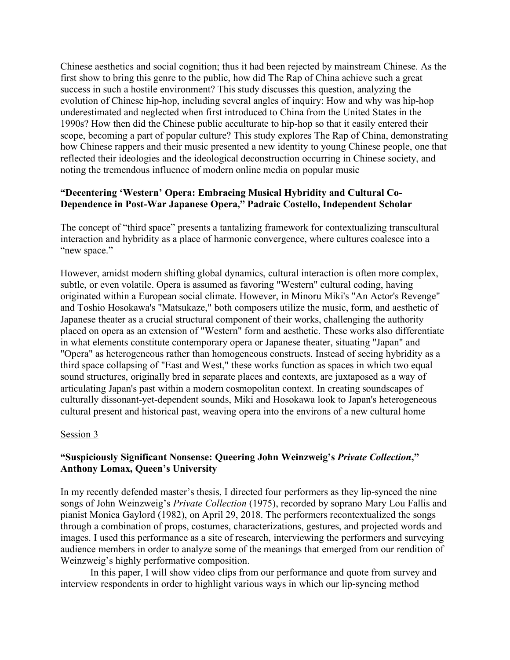Chinese aesthetics and social cognition; thus it had been rejected by mainstream Chinese. As the first show to bring this genre to the public, how did The Rap of China achieve such a great success in such a hostile environment? This study discusses this question, analyzing the evolution of Chinese hip-hop, including several angles of inquiry: How and why was hip-hop underestimated and neglected when first introduced to China from the United States in the 1990s? How then did the Chinese public acculturate to hip-hop so that it easily entered their scope, becoming a part of popular culture? This study explores The Rap of China, demonstrating how Chinese rappers and their music presented a new identity to young Chinese people, one that reflected their ideologies and the ideological deconstruction occurring in Chinese society, and noting the tremendous influence of modern online media on popular music

#### **"Decentering 'Western' Opera: Embracing Musical Hybridity and Cultural Co-Dependence in Post-War Japanese Opera," Padraic Costello, Independent Scholar**

The concept of "third space" presents a tantalizing framework for contextualizing transcultural interaction and hybridity as a place of harmonic convergence, where cultures coalesce into a "new space."

However, amidst modern shifting global dynamics, cultural interaction is often more complex, subtle, or even volatile. Opera is assumed as favoring "Western" cultural coding, having originated within a European social climate. However, in Minoru Miki's "An Actor's Revenge" and Toshio Hosokawa's "Matsukaze," both composers utilize the music, form, and aesthetic of Japanese theater as a crucial structural component of their works, challenging the authority placed on opera as an extension of "Western" form and aesthetic. These works also differentiate in what elements constitute contemporary opera or Japanese theater, situating "Japan" and "Opera" as heterogeneous rather than homogeneous constructs. Instead of seeing hybridity as a third space collapsing of "East and West," these works function as spaces in which two equal sound structures, originally bred in separate places and contexts, are juxtaposed as a way of articulating Japan's past within a modern cosmopolitan context. In creating soundscapes of culturally dissonant-yet-dependent sounds, Miki and Hosokawa look to Japan's heterogeneous cultural present and historical past, weaving opera into the environs of a new cultural home

#### Session 3

#### **"Suspiciously Significant Nonsense: Queering John Weinzweig's** *Private Collection***," Anthony Lomax, Queen's University**

In my recently defended master's thesis, I directed four performers as they lip-synced the nine songs of John Weinzweig's *Private Collection* (1975), recorded by soprano Mary Lou Fallis and pianist Monica Gaylord (1982), on April 29, 2018. The performers recontextualized the songs through a combination of props, costumes, characterizations, gestures, and projected words and images. I used this performance as a site of research, interviewing the performers and surveying audience members in order to analyze some of the meanings that emerged from our rendition of Weinzweig's highly performative composition.

In this paper, I will show video clips from our performance and quote from survey and interview respondents in order to highlight various ways in which our lip-syncing method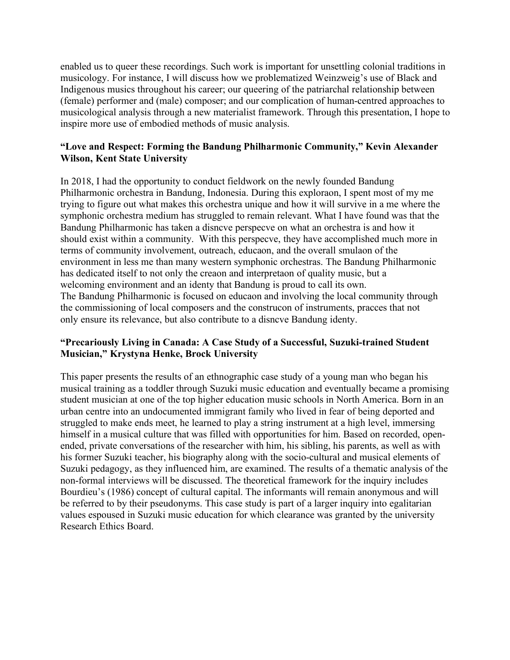enabled us to queer these recordings. Such work is important for unsettling colonial traditions in musicology. For instance, I will discuss how we problematized Weinzweig's use of Black and Indigenous musics throughout his career; our queering of the patriarchal relationship between (female) performer and (male) composer; and our complication of human-centred approaches to musicological analysis through a new materialist framework. Through this presentation, I hope to inspire more use of embodied methods of music analysis.

# **"Love and Respect: Forming the Bandung Philharmonic Community," Kevin Alexander Wilson, Kent State University**

In 2018, I had the opportunity to conduct fieldwork on the newly founded Bandung Philharmonic orchestra in Bandung, Indonesia. During this exploraon, I spent most of my me trying to figure out what makes this orchestra unique and how it will survive in a me where the symphonic orchestra medium has struggled to remain relevant. What I have found was that the Bandung Philharmonic has taken a disncve perspecve on what an orchestra is and how it should exist within a community. With this perspecve, they have accomplished much more in terms of community involvement, outreach, educaon, and the overall smulaon of the environment in less me than many western symphonic orchestras. The Bandung Philharmonic has dedicated itself to not only the creaon and interpretaon of quality music, but a welcoming environment and an identy that Bandung is proud to call its own. The Bandung Philharmonic is focused on educaon and involving the local community through the commissioning of local composers and the construcon of instruments, pracces that not only ensure its relevance, but also contribute to a disncve Bandung identy.

## **"Precariously Living in Canada: A Case Study of a Successful, Suzuki-trained Student Musician," Krystyna Henke, Brock University**

This paper presents the results of an ethnographic case study of a young man who began his musical training as a toddler through Suzuki music education and eventually became a promising student musician at one of the top higher education music schools in North America. Born in an urban centre into an undocumented immigrant family who lived in fear of being deported and struggled to make ends meet, he learned to play a string instrument at a high level, immersing himself in a musical culture that was filled with opportunities for him. Based on recorded, openended, private conversations of the researcher with him, his sibling, his parents, as well as with his former Suzuki teacher, his biography along with the socio-cultural and musical elements of Suzuki pedagogy, as they influenced him, are examined. The results of a thematic analysis of the non-formal interviews will be discussed. The theoretical framework for the inquiry includes Bourdieu's (1986) concept of cultural capital. The informants will remain anonymous and will be referred to by their pseudonyms. This case study is part of a larger inquiry into egalitarian values espoused in Suzuki music education for which clearance was granted by the university Research Ethics Board.